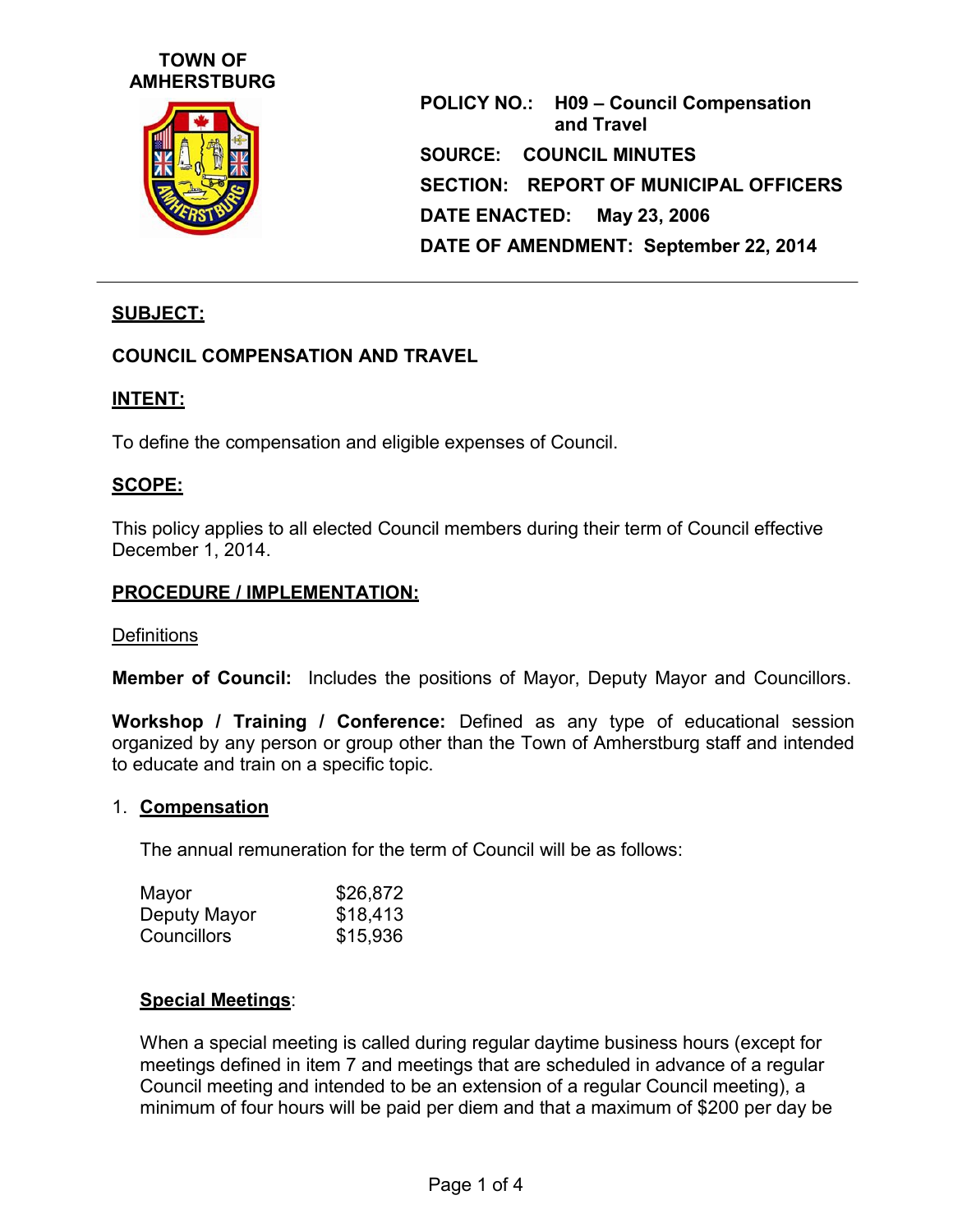# **TOWN OF AMHERSTBURG**



**POLICY NO.: H09 – Council Compensation and Travel SOURCE: COUNCIL MINUTES SECTION: REPORT OF MUNICIPAL OFFICERS DATE ENACTED: May 23, 2006 DATE OF AMENDMENT: September 22, 2014**

# **SUBJECT:**

## **COUNCIL COMPENSATION AND TRAVEL**

#### **INTENT:**

To define the compensation and eligible expenses of Council.

#### **SCOPE:**

This policy applies to all elected Council members during their term of Council effective December 1, 2014.

#### **PROCEDURE / IMPLEMENTATION:**

#### **Definitions**

**Member of Council:** Includes the positions of Mayor, Deputy Mayor and Councillors.

**Workshop / Training / Conference:** Defined as any type of educational session organized by any person or group other than the Town of Amherstburg staff and intended to educate and train on a specific topic.

#### 1. **Compensation**

The annual remuneration for the term of Council will be as follows:

| Mayor        | \$26,872 |
|--------------|----------|
| Deputy Mayor | \$18,413 |
| Councillors  | \$15,936 |

#### **Special Meetings**:

When a special meeting is called during regular daytime business hours (except for meetings defined in item 7 and meetings that are scheduled in advance of a regular Council meeting and intended to be an extension of a regular Council meeting), a minimum of four hours will be paid per diem and that a maximum of \$200 per day be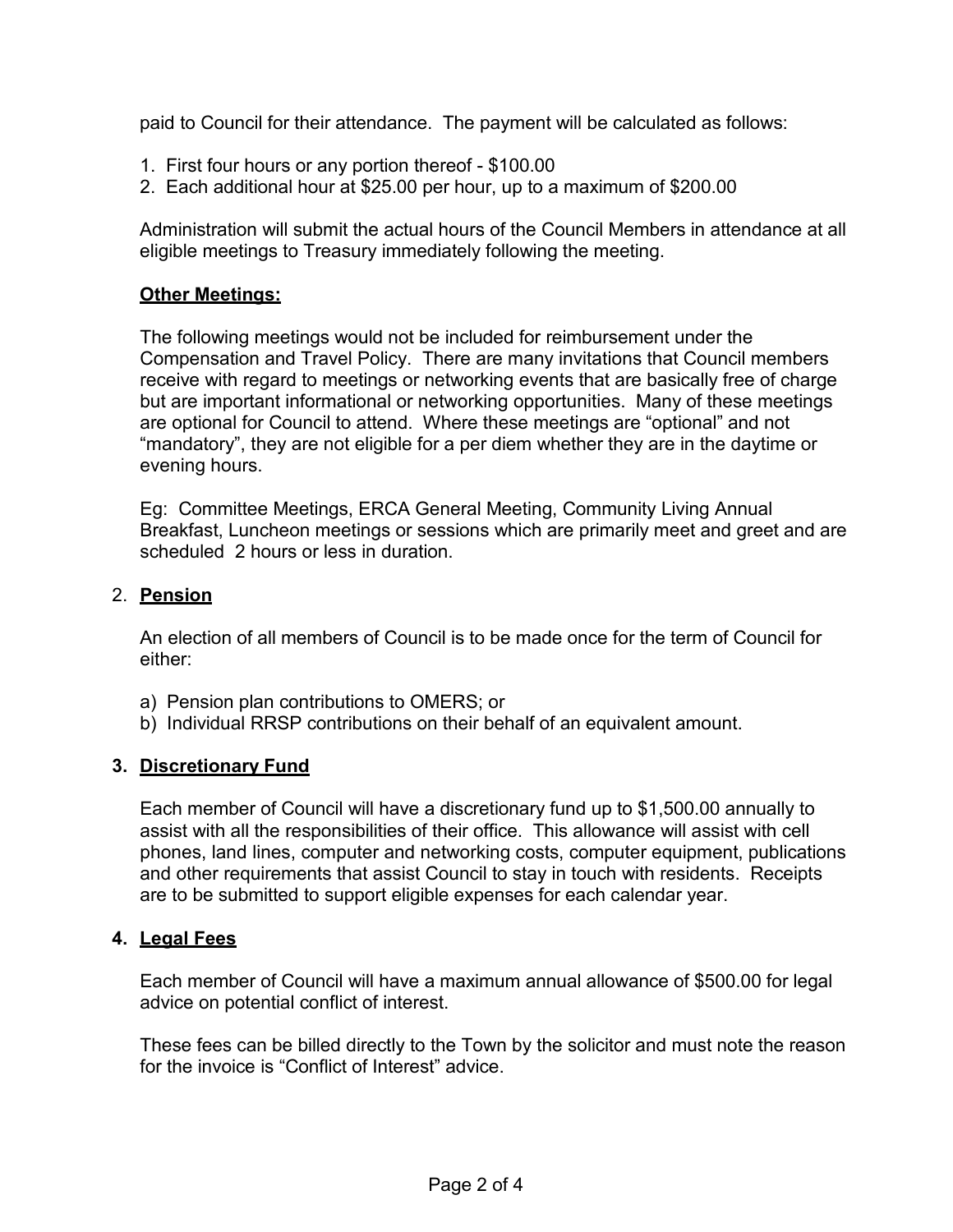paid to Council for their attendance. The payment will be calculated as follows:

- 1. First four hours or any portion thereof \$100.00
- 2. Each additional hour at \$25.00 per hour, up to a maximum of \$200.00

Administration will submit the actual hours of the Council Members in attendance at all eligible meetings to Treasury immediately following the meeting.

# **Other Meetings:**

The following meetings would not be included for reimbursement under the Compensation and Travel Policy. There are many invitations that Council members receive with regard to meetings or networking events that are basically free of charge but are important informational or networking opportunities. Many of these meetings are optional for Council to attend. Where these meetings are "optional" and not "mandatory", they are not eligible for a per diem whether they are in the daytime or evening hours.

Eg: Committee Meetings, ERCA General Meeting, Community Living Annual Breakfast, Luncheon meetings or sessions which are primarily meet and greet and are scheduled 2 hours or less in duration.

# 2. **Pension**

An election of all members of Council is to be made once for the term of Council for either:

- a) Pension plan contributions to OMERS; or
- b) Individual RRSP contributions on their behalf of an equivalent amount.

## **3. Discretionary Fund**

Each member of Council will have a discretionary fund up to \$1,500.00 annually to assist with all the responsibilities of their office. This allowance will assist with cell phones, land lines, computer and networking costs, computer equipment, publications and other requirements that assist Council to stay in touch with residents. Receipts are to be submitted to support eligible expenses for each calendar year.

## **4. Legal Fees**

Each member of Council will have a maximum annual allowance of \$500.00 for legal advice on potential conflict of interest.

These fees can be billed directly to the Town by the solicitor and must note the reason for the invoice is "Conflict of Interest" advice.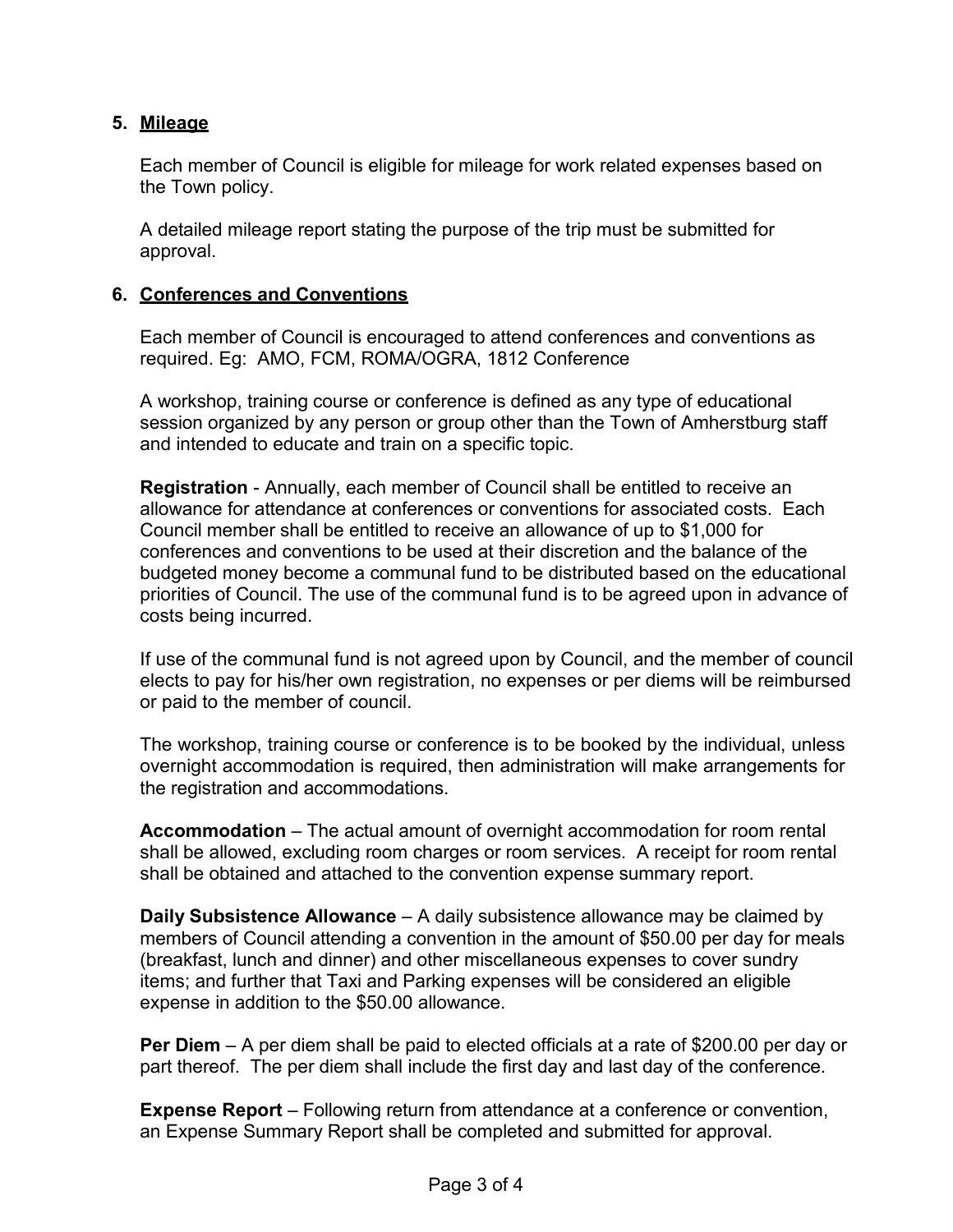# **5. Mileage**

Each member of Council is eligible for mileage for work related expenses based on the Town policy.

A detailed mileage report stating the purpose of the trip must be submitted for approval.

# **6. Conferences and Conventions**

Each member of Council is encouraged to attend conferences and conventions as required. Eg: AMO, FCM, ROMA/OGRA, 1812 Conference

A workshop, training course or conference is defined as any type of educational session organized by any person or group other than the Town of Amherstburg staff and intended to educate and train on a specific topic.

**Registration** - Annually, each member of Council shall be entitled to receive an allowance for attendance at conferences or conventions for associated costs. Each Council member shall be entitled to receive an allowance of up to \$1,000 for conferences and conventions to be used at their discretion and the balance of the budgeted money become a communal fund to be distributed based on the educational priorities of Council. The use of the communal fund is to be agreed upon in advance of costs being incurred.

If use of the communal fund is not agreed upon by Council, and the member of council elects to pay for his/her own registration, no expenses or per diems will be reimbursed or paid to the member of council.

The workshop, training course or conference is to be booked by the individual, unless overnight accommodation is required, then administration will make arrangements for the registration and accommodations.

**Accommodation** – The actual amount of overnight accommodation for room rental shall be allowed, excluding room charges or room services. A receipt for room rental shall be obtained and attached to the convention expense summary report.

**Daily Subsistence Allowance** – A daily subsistence allowance may be claimed by members of Council attending a convention in the amount of \$50.00 per day for meals (breakfast, lunch and dinner) and other miscellaneous expenses to cover sundry items; and further that Taxi and Parking expenses will be considered an eligible expense in addition to the \$50.00 allowance.

**Per Diem** – A per diem shall be paid to elected officials at a rate of \$200.00 per day or part thereof. The per diem shall include the first day and last day of the conference.

**Expense Report** – Following return from attendance at a conference or convention, an Expense Summary Report shall be completed and submitted for approval.